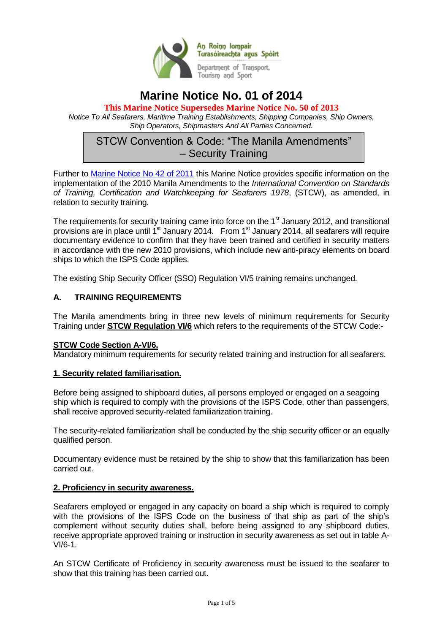

# **Marine Notice No. 01 of 2014**

**This Marine Notice Supersedes Marine Notice No. 50 of 2013** *Notice To All Seafarers, Maritime Training Establishments, Shipping Companies, Ship Owners, Ship Operators, Shipmasters And All Parties Concerned.*

# STCW Convention & Code: "The Manila Amendments" – Security Training

Further to [Marine Notice No 42 of 2011](http://www.dttas.ie/sites/default/files/corporate/foi-decisions/13323-MARINE_NOTICE_NO__42_OF_2011__STCW_CONVENTION_AND_CODE__THE_MANILA_AMENDMENTS-1.PDF) this Marine Notice provides specific information on the implementation of the 2010 Manila Amendments to the *International Convention on Standards of Training, Certification and Watchkeeping for Seafarers 1978*, (STCW), as amended, in relation to security training.

The requirements for security training came into force on the  $1<sup>st</sup>$  January 2012, and transitional provisions are in place until  $1<sup>st</sup>$  January 2014. From  $1<sup>st</sup>$  January 2014, all seafarers will require documentary evidence to confirm that they have been trained and certified in security matters in accordance with the new 2010 provisions, which include new anti-piracy elements on board ships to which the ISPS Code applies.

The existing Ship Security Officer (SSO) Regulation VI/5 training remains unchanged.

## **A. TRAINING REQUIREMENTS**

The Manila amendments bring in three new levels of minimum requirements for Security Training under **STCW Regulation VI/6** which refers to the requirements of the STCW Code:-

#### **STCW Code Section A-VI/6.**

Mandatory minimum requirements for security related training and instruction for all seafarers.

#### **1. Security related familiarisation.**

Before being assigned to shipboard duties, all persons employed or engaged on a seagoing ship which is required to comply with the provisions of the ISPS Code, other than passengers, shall receive approved security-related familiarization training.

The security-related familiarization shall be conducted by the ship security officer or an equally qualified person.

Documentary evidence must be retained by the ship to show that this familiarization has been carried out.

#### **2. Proficiency in security awareness.**

Seafarers employed or engaged in any capacity on board a ship which is required to comply with the provisions of the ISPS Code on the business of that ship as part of the ship's complement without security duties shall, before being assigned to any shipboard duties, receive appropriate approved training or instruction in security awareness as set out in table A-VI/6-1.

An STCW Certificate of Proficiency in security awareness must be issued to the seafarer to show that this training has been carried out.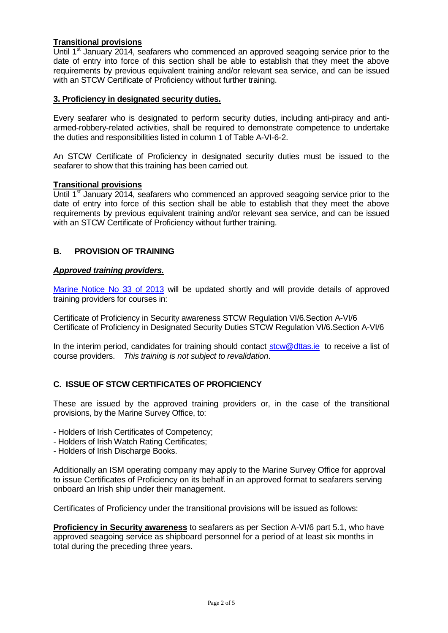## **Transitional provisions**

Until 1<sup>st</sup> January 2014, seafarers who commenced an approved seagoing service prior to the date of entry into force of this section shall be able to establish that they meet the above requirements by previous equivalent training and/or relevant sea service, and can be issued with an STCW Certificate of Proficiency without further training.

### **3. Proficiency in designated security duties.**

Every seafarer who is designated to perform security duties, including anti-piracy and antiarmed-robbery-related activities, shall be required to demonstrate competence to undertake the duties and responsibilities listed in column 1 of Table A-VI-6-2.

An STCW Certificate of Proficiency in designated security duties must be issued to the seafarer to show that this training has been carried out.

#### **Transitional provisions**

Until 1<sup>st</sup> January 2014, seafarers who commenced an approved seagoing service prior to the date of entry into force of this section shall be able to establish that they meet the above requirements by previous equivalent training and/or relevant sea service, and can be issued with an STCW Certificate of Proficiency without further training.

### **B. PROVISION OF TRAINING**

#### *Approved training providers.*

[Marine Notice No 33 of 2013](http://www.dttas.ie/sites/default/files/corporate/MN33of2013-Amended-Approved%20Training%20Course%20Providers%20UPDATE.pdf) will be updated shortly and will provide details of approved training providers for courses in:

Certificate of Proficiency in Security awareness STCW Regulation VI/6.Section A-VI/6 Certificate of Proficiency in Designated Security Duties STCW Regulation VI/6.Section A-VI/6

In the interim period, candidates for training should contact [stcw@dttas.ie](mailto:stcw@dttas.ie) to receive a list of course providers. *This training is not subject to revalidation*.

## **C. ISSUE OF STCW CERTIFICATES OF PROFICIENCY**

These are issued by the approved training providers or, in the case of the transitional provisions, by the Marine Survey Office, to:

- Holders of Irish Certificates of Competency;

- Holders of Irish Watch Rating Certificates;
- Holders of Irish Discharge Books.

Additionally an ISM operating company may apply to the Marine Survey Office for approval to issue Certificates of Proficiency on its behalf in an approved format to seafarers serving onboard an Irish ship under their management.

Certificates of Proficiency under the transitional provisions will be issued as follows:

**Proficiency in Security awareness** to seafarers as per Section A-VI/6 part 5.1, who have approved seagoing service as shipboard personnel for a period of at least six months in total during the preceding three years.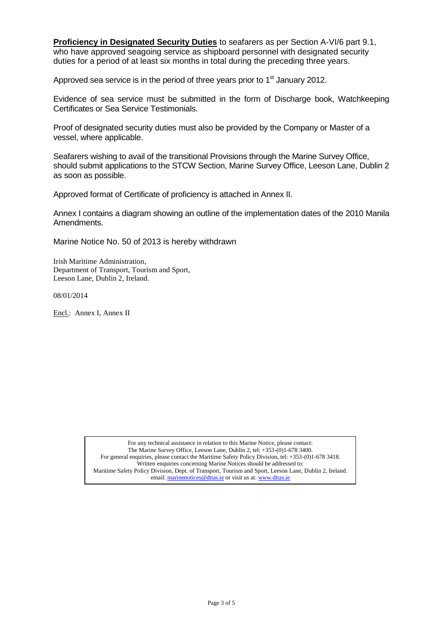**Proficiency in Designated Security Duties** to seafarers as per Section A-VI/6 part 9.1, who have approved seagoing service as shipboard personnel with designated security duties for a period of at least six months in total during the preceding three years.

Approved sea service is in the period of three years prior to  $1<sup>st</sup>$  January 2012.

Evidence of sea service must be submitted in the form of Discharge book, Watchkeeping Certificates or Sea Service Testimonials.

Proof of designated security duties must also be provided by the Company or Master of a vessel, where applicable.

Seafarers wishing to avail of the transitional Provisions through the Marine Survey Office, should submit applications to the STCW Section, Marine Survey Office, Leeson Lane, Dublin 2 as soon as possible.

Approved format of Certificate of proficiency is attached in Annex II.

Annex I contains a diagram showing an outline of the implementation dates of the 2010 Manila Amendments.

Marine Notice No. 50 of 2013 is hereby withdrawn

Irish Maritime Administration, Department of Transport, Tourism and Sport, Leeson Lane, Dublin 2, Ireland.

08/01/2014

Encl.: Annex I, Annex II

For any technical assistance in relation to this Marine Notice, please contact: The Marine Survey Office, Leeson Lane, Dublin 2, tel: +353-(0)1-678 3400. For general enquiries, please contact the Maritime Safety Policy Division, tel: +353-(0)1-678 3418. Written enquiries concerning Marine Notices should be addressed to: Maritime Safety Policy Division, Dept. of Transport, Tourism and Sport, Leeson Lane, Dublin 2, Ireland. email: marinenotices@dttas.ie or visit us at[: www.dttas.ie](http://www.dttas.ie/)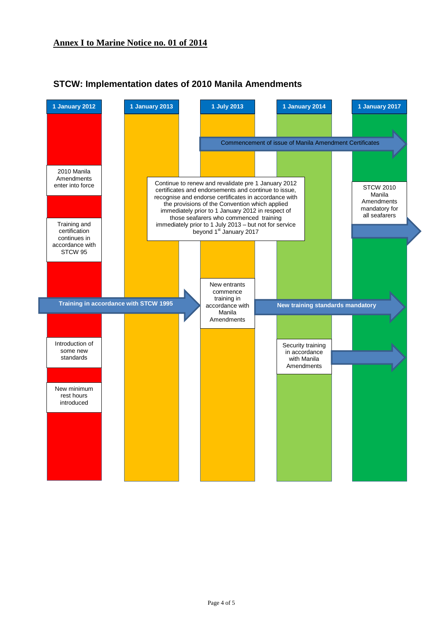

# **STCW: Implementation dates of 2010 Manila Amendments**